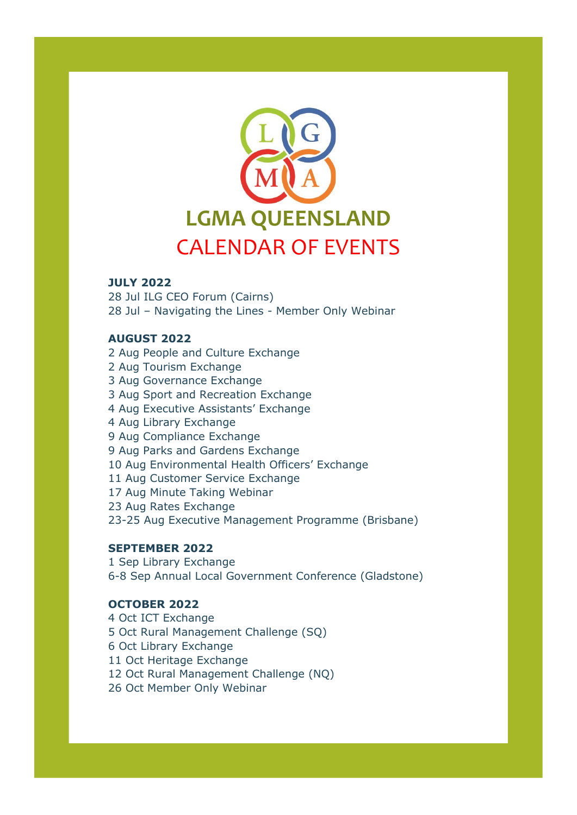

#### **JULY 2022**

28 Jul ILG CEO Forum (Cairns) 28 Jul – Navigating the Lines - Member Only Webinar

### **AUGUST 2022**

2 Aug People and Culture Exchange 2 Aug Tourism Exchange 3 Aug Governance Exchange 3 Aug Sport and Recreation Exchange 4 Aug Executive Assistants' Exchange 4 Aug Library Exchange 9 Aug Compliance Exchange 9 Aug Parks and Gardens Exchange 10 Aug Environmental Health Officers' Exchange 11 Aug Customer Service Exchange 17 Aug Minute Taking Webinar 23 Aug Rates Exchange 23-25 Aug Executive Management Programme (Brisbane)

# **SEPTEMBER 2022**

1 Sep Library Exchange 6-8 Sep Annual Local Government Conference (Gladstone)

# **OCTOBER 2022**

4 Oct ICT Exchange 5 Oct Rural Management Challenge (SQ) 6 Oct Library Exchange 11 Oct Heritage Exchange 12 Oct Rural Management Challenge (NQ) 26 Oct Member Only Webinar